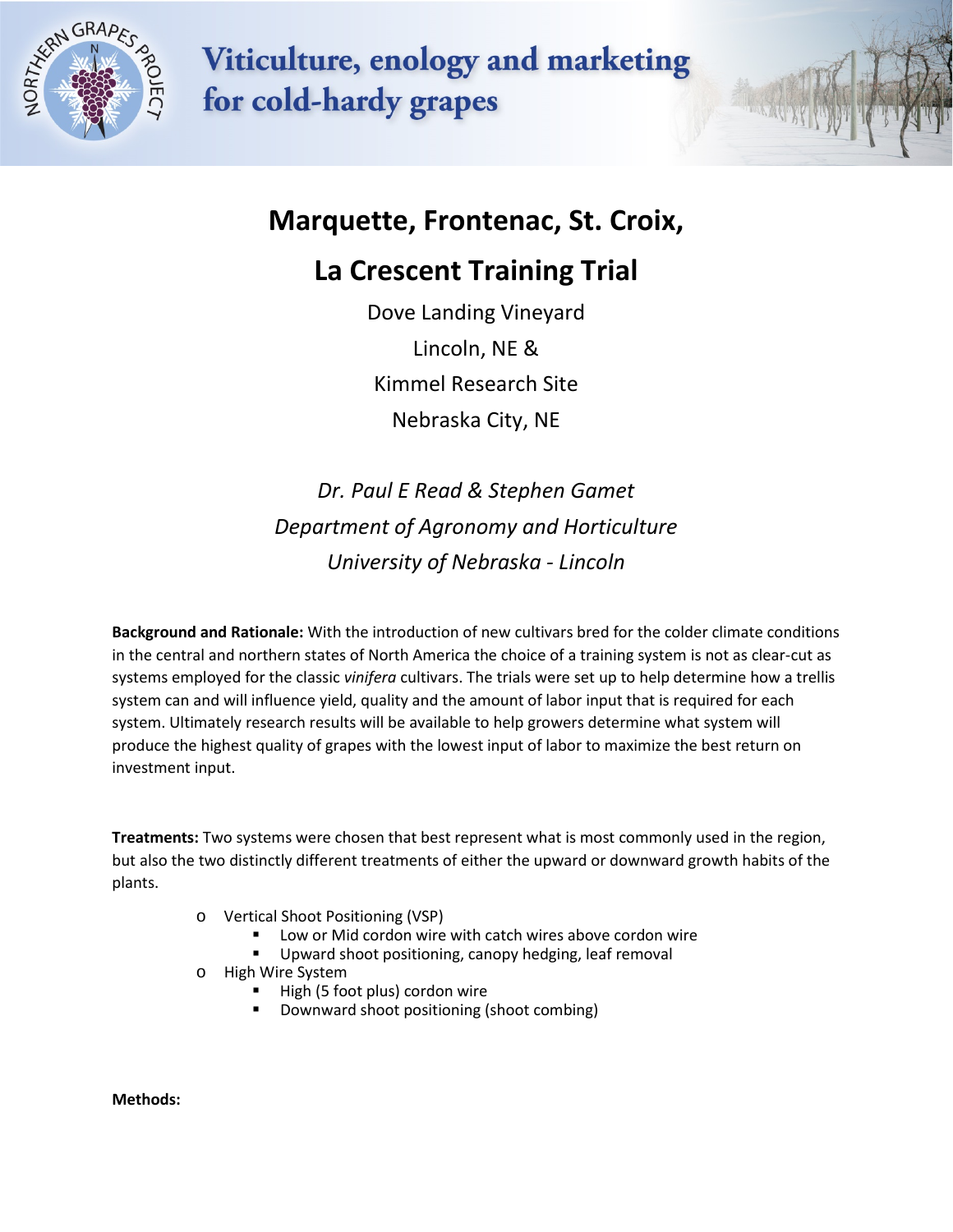

**Viticulture, enology and marketing** for cold-hardy grapes

## **Marquette, Frontenac, St. Croix,**

## **La Crescent Training Trial**

Dove Landing Vineyard Lincoln, NE & Kimmel Research Site Nebraska City, NE

*Dr. Paul E Read & Stephen Gamet Department of Agronomy and Horticulture University of Nebraska - Lincoln*

**Background and Rationale:** With the introduction of new cultivars bred for the colder climate conditions in the central and northern states of North America the choice of a training system is not as clear-cut as systems employed for the classic *vinifera* cultivars. The trials were set up to help determine how a trellis system can and will influence yield, quality and the amount of labor input that is required for each system. Ultimately research results will be available to help growers determine what system will produce the highest quality of grapes with the lowest input of labor to maximize the best return on investment input.

**Treatments:** Two systems were chosen that best represent what is most commonly used in the region, but also the two distinctly different treatments of either the upward or downward growth habits of the plants.

- o Vertical Shoot Positioning (VSP)
	- Low or Mid cordon wire with catch wires above cordon wire
	- Upward shoot positioning, canopy hedging, leaf removal
- o High Wire System
	- High (5 foot plus) cordon wire
	- Downward shoot positioning (shoot combing)

**Methods:**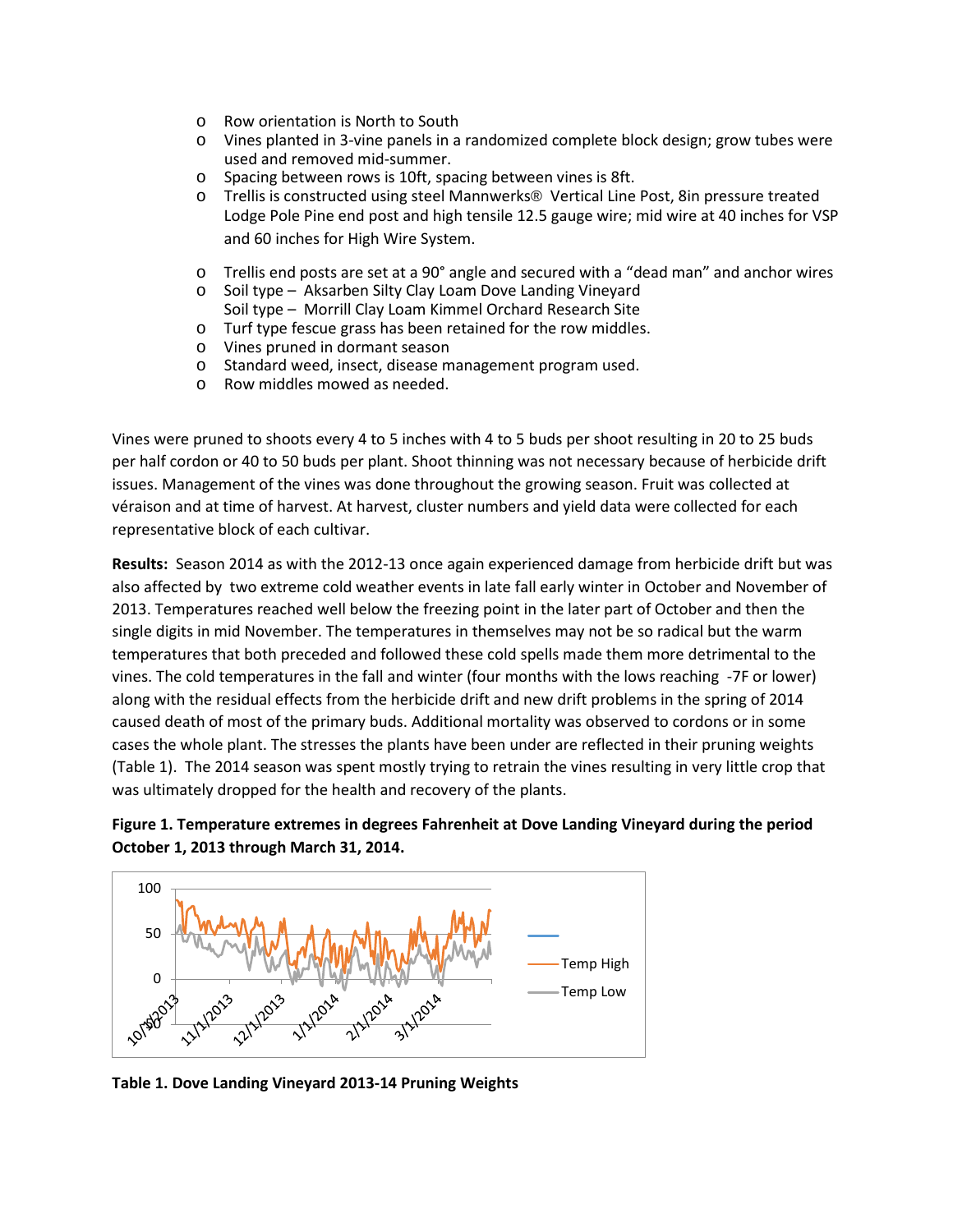- o Row orientation is North to South
- o Vines planted in 3-vine panels in a randomized complete block design; grow tubes were used and removed mid-summer.
- o Spacing between rows is 10ft, spacing between vines is 8ft.
- o Trellis is constructed using steel Mannwerks® Vertical Line Post, 8in pressure treated Lodge Pole Pine end post and high tensile 12.5 gauge wire; mid wire at 40 inches for VSP and 60 inches for High Wire System.
- o Trellis end posts are set at a 90° angle and secured with a "dead man" and anchor wires
- o Soil type Aksarben Silty Clay Loam Dove Landing Vineyard Soil type – Morrill Clay Loam Kimmel Orchard Research Site
- o Turf type fescue grass has been retained for the row middles.
- o Vines pruned in dormant season
- o Standard weed, insect, disease management program used.
- o Row middles mowed as needed.

Vines were pruned to shoots every 4 to 5 inches with 4 to 5 buds per shoot resulting in 20 to 25 buds per half cordon or 40 to 50 buds per plant. Shoot thinning was not necessary because of herbicide drift issues. Management of the vines was done throughout the growing season. Fruit was collected at véraison and at time of harvest. At harvest, cluster numbers and yield data were collected for each representative block of each cultivar.

**Results:** Season 2014 as with the 2012-13 once again experienced damage from herbicide drift but was also affected by two extreme cold weather events in late fall early winter in October and November of 2013. Temperatures reached well below the freezing point in the later part of October and then the single digits in mid November. The temperatures in themselves may not be so radical but the warm temperatures that both preceded and followed these cold spells made them more detrimental to the vines. The cold temperatures in the fall and winter (four months with the lows reaching -7F or lower) along with the residual effects from the herbicide drift and new drift problems in the spring of 2014 caused death of most of the primary buds. Additional mortality was observed to cordons or in some cases the whole plant. The stresses the plants have been under are reflected in their pruning weights (Table 1). The 2014 season was spent mostly trying to retrain the vines resulting in very little crop that was ultimately dropped for the health and recovery of the plants.





**Table 1. Dove Landing Vineyard 2013-14 Pruning Weights**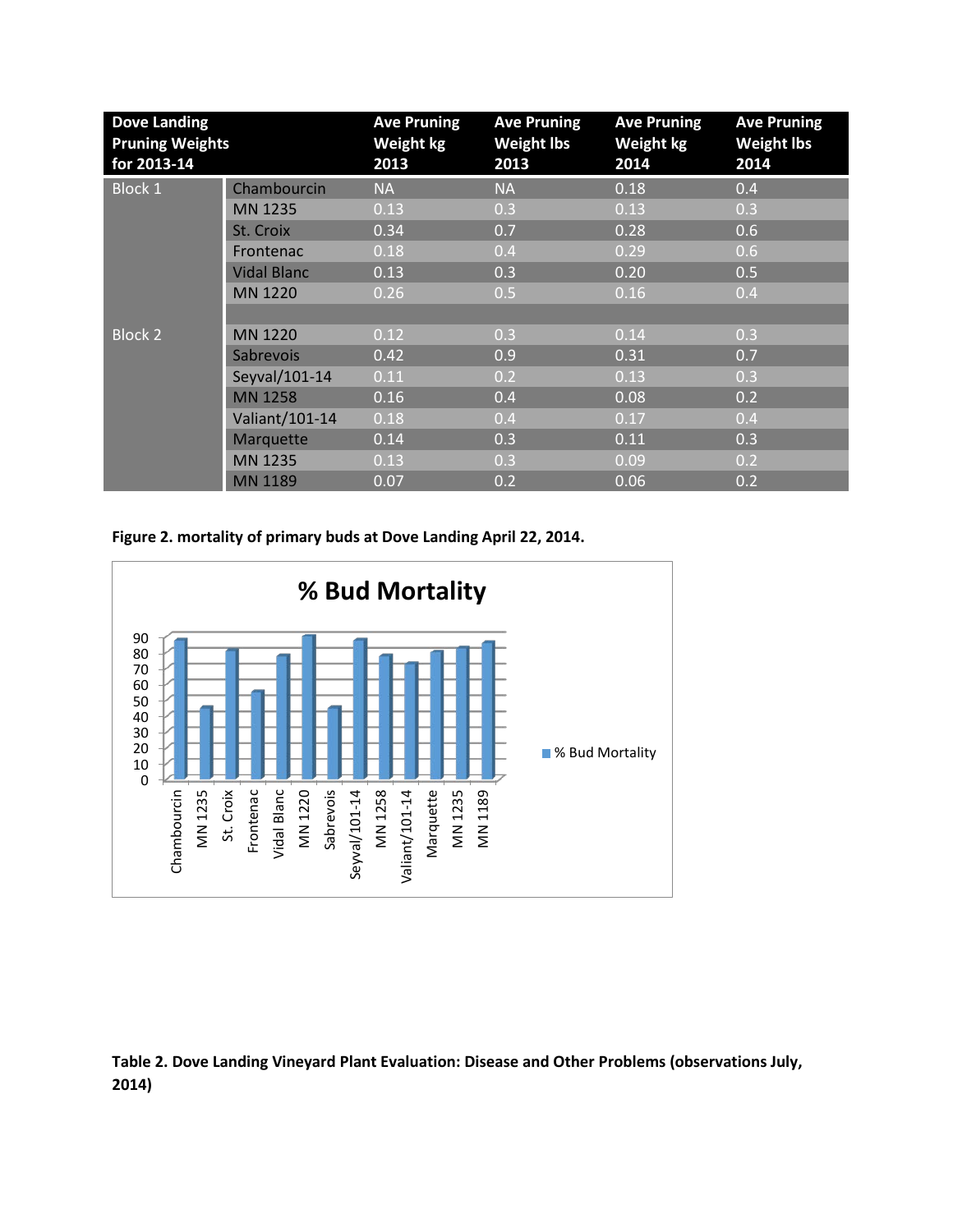| <b>Dove Landing</b><br><b>Pruning Weights</b><br>for 2013-14 |                    | <b>Ave Pruning</b><br>Weight kg<br>2013 | <b>Ave Pruning</b><br><b>Weight lbs</b><br>2013 | <b>Ave Pruning</b><br><b>Weight kg</b><br>2014 | <b>Ave Pruning</b><br><b>Weight lbs</b><br>2014 |  |
|--------------------------------------------------------------|--------------------|-----------------------------------------|-------------------------------------------------|------------------------------------------------|-------------------------------------------------|--|
| <b>Block 1</b>                                               | Chambourcin        | <b>NA</b>                               | <b>NA</b>                                       | 0.18                                           | 0.4                                             |  |
|                                                              | MN 1235            | 0.13                                    | 0.3                                             | 0.13                                           | 0.3                                             |  |
|                                                              | St. Croix          | 0.34                                    | 0.7                                             | 0.28                                           | 0.6                                             |  |
|                                                              | Frontenac          | 0.18                                    | 0.4                                             | 0.29                                           | 0.6                                             |  |
|                                                              | <b>Vidal Blanc</b> | 0.13                                    | 0.3                                             | 0.20                                           | 0.5                                             |  |
|                                                              | MN 1220            | 0.26                                    | 0.5                                             | 0.16                                           | 0.4                                             |  |
|                                                              |                    |                                         |                                                 |                                                |                                                 |  |
| <b>Block 2</b>                                               | MN 1220            | 0.12                                    | 0.3                                             | 0.14                                           | 0.3                                             |  |
|                                                              | Sabrevois          | 0.42                                    | 0.9                                             | 0.31                                           | 0.7                                             |  |
|                                                              | Seyval/101-14      | 0.11                                    | 0.2                                             | 0.13                                           | 0.3                                             |  |
|                                                              | <b>MN 1258</b>     | 0.16                                    | 0.4                                             | 0.08                                           | 0.2                                             |  |
|                                                              | Valiant/101-14     | 0.18                                    | 0.4                                             | 0.17                                           | 0.4                                             |  |
|                                                              | Marquette          | 0.14                                    | 0.3                                             | 0.11                                           | 0.3                                             |  |
|                                                              | MN 1235            | 0.13                                    | 0.3                                             | 0.09                                           | 0.2                                             |  |
|                                                              | <b>MN 1189</b>     | 0.07                                    | 0.2                                             | 0.06                                           | 0.2                                             |  |

**Figure 2. mortality of primary buds at Dove Landing April 22, 2014.**



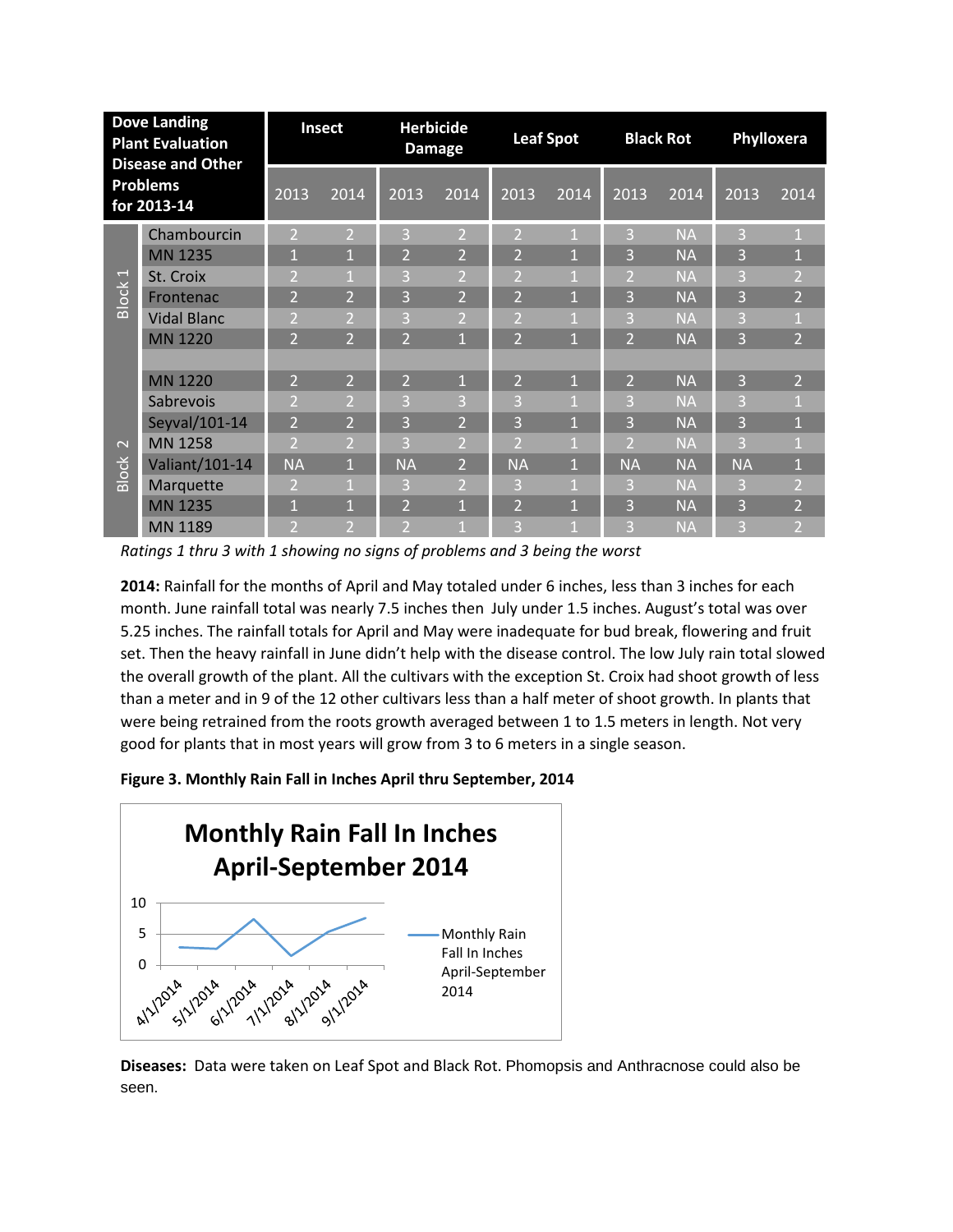| <b>Dove Landing</b><br><b>Plant Evaluation</b><br><b>Disease and Other</b><br><b>Problems</b><br>for 2013-14 |                    | Insect         |                | <b>Herbicide</b><br><b>Damage</b> |                | <b>Leaf Spot</b> |              | <b>Black Rot</b>        |           | Phylloxera |                |
|--------------------------------------------------------------------------------------------------------------|--------------------|----------------|----------------|-----------------------------------|----------------|------------------|--------------|-------------------------|-----------|------------|----------------|
|                                                                                                              |                    | 2013           | 2014           | 2013                              | 2014           | 2013             | 2014         | 2013                    | 2014      | 2013       | 2014           |
|                                                                                                              | Chambourcin        | $\overline{2}$ | $\overline{2}$ | 3                                 | $\overline{2}$ | $\overline{2}$   | $\mathbf{1}$ | 3                       | <b>NA</b> | 3          |                |
| Block <sub>1</sub><br>$\sim$<br><b>Block</b>                                                                 | MN 1235            | $\mathbf{1}$   | $\mathbf{1}$   | $\overline{2}$                    | $\overline{2}$ | $\overline{2}$   | $\mathbf{1}$ | 3                       | <b>NA</b> | 3          | $\mathbf{1}$   |
|                                                                                                              | St. Croix          | $\overline{2}$ | $\mathbf{1}$   | 3                                 | $\overline{2}$ | $\overline{2}$   | 1            | $\overline{2}$          | <b>NA</b> | 3          | $\overline{2}$ |
|                                                                                                              | Frontenac          | $\overline{2}$ | $\overline{2}$ | 3                                 | $\overline{2}$ | $\overline{2}$   | $\mathbf{1}$ | 3                       | <b>NA</b> | 3          | $\overline{2}$ |
|                                                                                                              | <b>Vidal Blanc</b> | $\overline{2}$ | $\overline{2}$ | 3                                 | 2              | $\overline{2}$   | 1            | 3                       | <b>NA</b> | 3          | 1              |
|                                                                                                              | <b>MN 1220</b>     | $\overline{2}$ | $\overline{2}$ | $\overline{2}$                    | $\mathbf{1}$   | $\overline{2}$   | 1            | $\overline{2}$          | <b>NA</b> | 3          | $\overline{2}$ |
|                                                                                                              | <b>MN 1220</b>     | $\overline{2}$ | $\overline{2}$ | $\overline{2}$                    | $\mathbf{1}$   | $\overline{2}$   | $\mathbf{1}$ | $\overline{2}$          | <b>NA</b> | 3          | $\overline{2}$ |
|                                                                                                              | Sabrevois          | $\overline{2}$ | $\overline{2}$ | 3                                 | 3              | 3                |              | 3                       | <b>NA</b> | 3          | $\mathbf{1}$   |
|                                                                                                              | Seyval/101-14      | $\overline{2}$ | $\overline{2}$ | 3                                 | $\overline{2}$ | 3                | $\mathbf{1}$ | 3                       | <b>NA</b> | 3          | $\mathbf{1}$   |
|                                                                                                              | <b>MN 1258</b>     | 12             | $\overline{2}$ | 3                                 | $\overline{2}$ | $\overline{2}$   | 1            | $\overline{\mathbf{c}}$ | <b>NA</b> | 3          |                |
|                                                                                                              | Valiant/101-14     | <b>NA</b>      | $\mathbf{1}$   | <b>NA</b>                         | $\overline{2}$ | <b>NA</b>        | $\mathbf{1}$ | <b>NA</b>               | <b>NA</b> | <b>NA</b>  | $\mathbf{1}$   |
|                                                                                                              | Marquette          | 2              | $\mathbf{1}$   | 3                                 | $\overline{2}$ | 3                |              | 3                       | <b>NA</b> | 3          | $\overline{2}$ |
|                                                                                                              | <b>MN 1235</b>     | $\mathbf{1}$   | $\mathbf{1}$   | $\overline{2}$                    | $\mathbf{1}$   | $\overline{2}$   | 1            | 3                       | <b>NA</b> | 3          | $\overline{2}$ |
|                                                                                                              | MN 1189            | 2              | $\overline{2}$ | $\overline{2}$                    | 1              | 3                | 1            | В                       | <b>NA</b> | 3          | $\overline{2}$ |

*Ratings 1 thru 3 with 1 showing no signs of problems and 3 being the worst*

**2014:** Rainfall for the months of April and May totaled under 6 inches, less than 3 inches for each month. June rainfall total was nearly 7.5 inches then July under 1.5 inches. August's total was over 5.25 inches. The rainfall totals for April and May were inadequate for bud break, flowering and fruit set. Then the heavy rainfall in June didn't help with the disease control. The low July rain total slowed the overall growth of the plant. All the cultivars with the exception St. Croix had shoot growth of less than a meter and in 9 of the 12 other cultivars less than a half meter of shoot growth. In plants that were being retrained from the roots growth averaged between 1 to 1.5 meters in length. Not very good for plants that in most years will grow from 3 to 6 meters in a single season.





**Diseases:** Data were taken on Leaf Spot and Black Rot. Phomopsis and Anthracnose could also be seen.